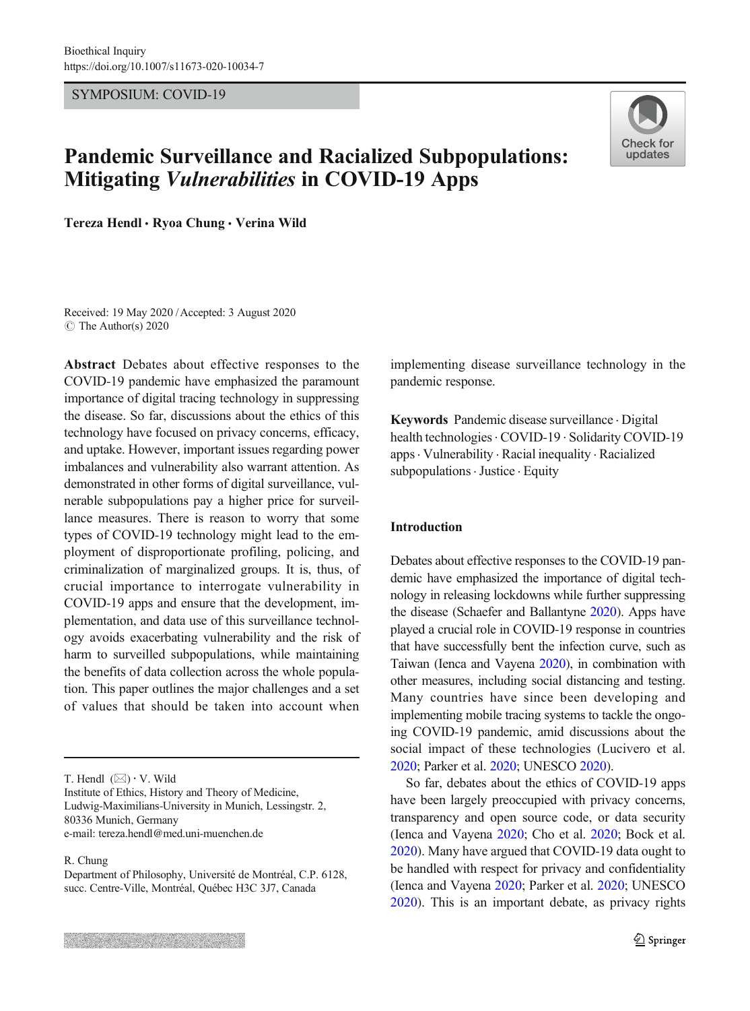SYMPOSIUM: COVID-19

# Pandemic Surveillance and Racialized Subpopulations: Mitigating Vulnerabilities in COVID-19 Apps



Tereza Hendl · Ryoa Chung · Verina Wild

Received: 19 May 2020 /Accepted: 3 August 2020  $\circ$  The Author(s) 2020

Abstract Debates about effective responses to the COVID-19 pandemic have emphasized the paramount importance of digital tracing technology in suppressing the disease. So far, discussions about the ethics of this technology have focused on privacy concerns, efficacy, and uptake. However, important issues regarding power imbalances and vulnerability also warrant attention. As demonstrated in other forms of digital surveillance, vulnerable subpopulations pay a higher price for surveillance measures. There is reason to worry that some types of COVID-19 technology might lead to the employment of disproportionate profiling, policing, and criminalization of marginalized groups. It is, thus, of crucial importance to interrogate vulnerability in COVID-19 apps and ensure that the development, implementation, and data use of this surveillance technology avoids exacerbating vulnerability and the risk of harm to surveilled subpopulations, while maintaining the benefits of data collection across the whole population. This paper outlines the major challenges and a set of values that should be taken into account when

T. Hendl  $(\boxtimes) \cdot V$ . Wild

Institute of Ethics, History and Theory of Medicine, Ludwig-Maximilians-University in Munich, Lessingstr. 2, 80336 Munich, Germany e-mail: tereza.hendl@med.uni-muenchen.de

### R. Chung

implementing disease surveillance technology in the pandemic response.

Keywords Pandemic disease surveillance . Digital health technologies. COVID-19 . Solidarity COVID-19 apps. Vulnerability . Racial inequality . Racialized subpopulations · Justice · Equity

## Introduction

Debates about effective responses to the COVID-19 pandemic have emphasized the importance of digital technology in releasing lockdowns while further suppressing the disease (Schaefer and Ballantyne [2020\)](#page-5-0). Apps have played a crucial role in COVID-19 response in countries that have successfully bent the infection curve, such as Taiwan (Ienca and Vayena [2020\)](#page-5-0), in combination with other measures, including social distancing and testing. Many countries have since been developing and implementing mobile tracing systems to tackle the ongoing COVID-19 pandemic, amid discussions about the social impact of these technologies (Lucivero et al. [2020](#page-5-0); Parker et al. [2020;](#page-5-0) UNESCO [2020](#page-5-0)).

So far, debates about the ethics of COVID-19 apps have been largely preoccupied with privacy concerns, transparency and open source code, or data security (Ienca and Vayena [2020](#page-5-0); Cho et al. [2020;](#page-4-0) Bock et al. [2020](#page-4-0)). Many have argued that COVID-19 data ought to be handled with respect for privacy and confidentiality (Ienca and Vayena [2020;](#page-5-0) Parker et al. [2020;](#page-5-0) UNESCO [2020](#page-5-0)). This is an important debate, as privacy rights

Department of Philosophy, Université de Montréal, C.P. 6128, succ. Centre-Ville, Montréal, Québec H3C 3J7, Canada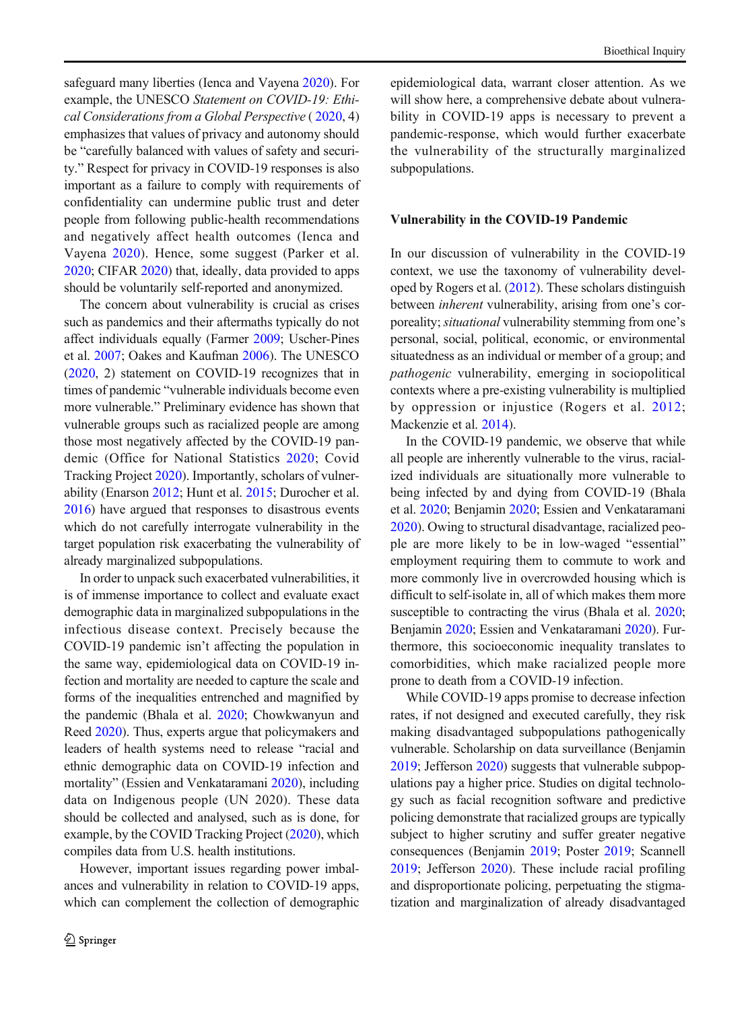safeguard many liberties (Ienca and Vayena [2020](#page-5-0)). For example, the UNESCO Statement on COVID-19: Ethical Considerations from a Global Perspective ( [2020,](#page-5-0) 4) emphasizes that values of privacy and autonomy should be "carefully balanced with values of safety and security." Respect for privacy in COVID-19 responses is also important as a failure to comply with requirements of confidentiality can undermine public trust and deter people from following public-health recommendations and negatively affect health outcomes (Ienca and Vayena [2020\)](#page-5-0). Hence, some suggest (Parker et al. [2020](#page-5-0); CIFAR [2020](#page-4-0)) that, ideally, data provided to apps should be voluntarily self-reported and anonymized.

The concern about vulnerability is crucial as crises such as pandemics and their aftermaths typically do not affect individuals equally (Farmer [2009](#page-4-0); Uscher-Pines et al. [2007](#page-5-0); Oakes and Kaufman [2006\)](#page-5-0). The UNESCO ([2020](#page-5-0), 2) statement on COVID-19 recognizes that in times of pandemic "vulnerable individuals become even more vulnerable." Preliminary evidence has shown that vulnerable groups such as racialized people are among those most negatively affected by the COVID-19 pandemic (Office for National Statistics [2020;](#page-5-0) Covid Tracking Project [2020\)](#page-4-0). Importantly, scholars of vulnerability (Enarson [2012;](#page-4-0) Hunt et al. [2015](#page-5-0); Durocher et al. [2016](#page-4-0)) have argued that responses to disastrous events which do not carefully interrogate vulnerability in the target population risk exacerbating the vulnerability of already marginalized subpopulations.

In order to unpack such exacerbated vulnerabilities, it is of immense importance to collect and evaluate exact demographic data in marginalized subpopulations in the infectious disease context. Precisely because the COVID-19 pandemic isn't affecting the population in the same way, epidemiological data on COVID-19 infection and mortality are needed to capture the scale and forms of the inequalities entrenched and magnified by the pandemic (Bhala et al. [2020](#page-4-0); Chowkwanyun and Reed [2020](#page-4-0)). Thus, experts argue that policymakers and leaders of health systems need to release "racial and ethnic demographic data on COVID-19 infection and mortality" (Essien and Venkataramani [2020](#page-4-0)), including data on Indigenous people (UN 2020). These data should be collected and analysed, such as is done, for example, by the COVID Tracking Project [\(2020\)](#page-4-0), which compiles data from U.S. health institutions.

However, important issues regarding power imbalances and vulnerability in relation to COVID-19 apps, which can complement the collection of demographic epidemiological data, warrant closer attention. As we will show here, a comprehensive debate about vulnerability in COVID-19 apps is necessary to prevent a pandemic-response, which would further exacerbate the vulnerability of the structurally marginalized subpopulations.

## Vulnerability in the COVID-19 Pandemic

In our discussion of vulnerability in the COVID-19 context, we use the taxonomy of vulnerability developed by Rogers et al. [\(2012](#page-5-0)). These scholars distinguish between inherent vulnerability, arising from one's corporeality; situational vulnerability stemming from one's personal, social, political, economic, or environmental situatedness as an individual or member of a group; and pathogenic vulnerability, emerging in sociopolitical contexts where a pre-existing vulnerability is multiplied by oppression or injustice (Rogers et al. [2012;](#page-5-0) Mackenzie et al. [2014](#page-5-0)).

In the COVID-19 pandemic, we observe that while all people are inherently vulnerable to the virus, racialized individuals are situationally more vulnerable to being infected by and dying from COVID-19 (Bhala et al. [2020;](#page-4-0) Benjamin [2020](#page-4-0); Essien and Venkataramani [2020](#page-4-0)). Owing to structural disadvantage, racialized people are more likely to be in low-waged "essential" employment requiring them to commute to work and more commonly live in overcrowded housing which is difficult to self-isolate in, all of which makes them more susceptible to contracting the virus (Bhala et al. [2020;](#page-4-0) Benjamin [2020;](#page-4-0) Essien and Venkataramani [2020\)](#page-4-0). Furthermore, this socioeconomic inequality translates to comorbidities, which make racialized people more prone to death from a COVID-19 infection.

While COVID-19 apps promise to decrease infection rates, if not designed and executed carefully, they risk making disadvantaged subpopulations pathogenically vulnerable. Scholarship on data surveillance (Benjamin [2019](#page-4-0); Jefferson [2020](#page-5-0)) suggests that vulnerable subpopulations pay a higher price. Studies on digital technology such as facial recognition software and predictive policing demonstrate that racialized groups are typically subject to higher scrutiny and suffer greater negative consequences (Benjamin [2019](#page-4-0); Poster [2019](#page-5-0); Scannell [2019;](#page-5-0) Jefferson [2020\)](#page-5-0). These include racial profiling and disproportionate policing, perpetuating the stigmatization and marginalization of already disadvantaged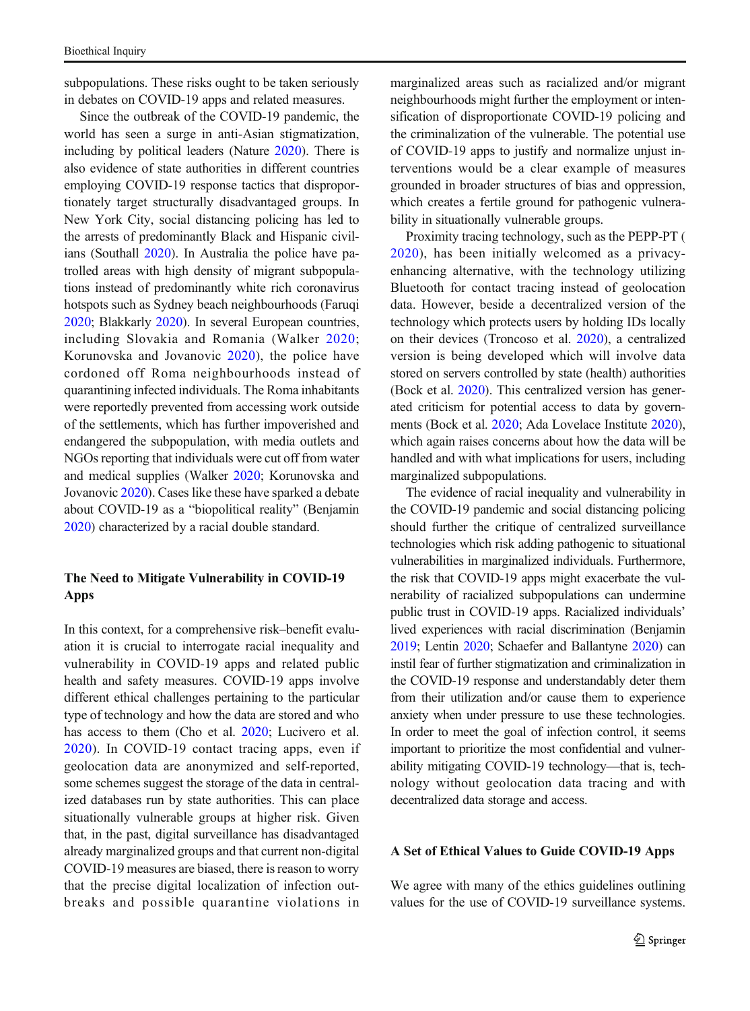subpopulations. These risks ought to be taken seriously in debates on COVID-19 apps and related measures.

Since the outbreak of the COVID-19 pandemic, the world has seen a surge in anti-Asian stigmatization, including by political leaders (Nature [2020\)](#page-5-0). There is also evidence of state authorities in different countries employing COVID-19 response tactics that disproportionately target structurally disadvantaged groups. In New York City, social distancing policing has led to the arrests of predominantly Black and Hispanic civilians (Southall [2020\)](#page-5-0). In Australia the police have patrolled areas with high density of migrant subpopulations instead of predominantly white rich coronavirus hotspots such as Sydney beach neighbourhoods (Faruqi [2020](#page-4-0); Blakkarly [2020](#page-4-0)). In several European countries, including Slovakia and Romania (Walker [2020](#page-5-0); Korunovska and Jovanovic [2020\)](#page-5-0), the police have cordoned off Roma neighbourhoods instead of quarantining infected individuals. The Roma inhabitants were reportedly prevented from accessing work outside of the settlements, which has further impoverished and endangered the subpopulation, with media outlets and NGOs reporting that individuals were cut off from water and medical supplies (Walker [2020;](#page-5-0) Korunovska and Jovanovic [2020\)](#page-5-0). Cases like these have sparked a debate about COVID-19 as a "biopolitical reality" (Benjamin [2020](#page-4-0)) characterized by a racial double standard.

# The Need to Mitigate Vulnerability in COVID-19 Apps

In this context, for a comprehensive risk–benefit evaluation it is crucial to interrogate racial inequality and vulnerability in COVID-19 apps and related public health and safety measures. COVID-19 apps involve different ethical challenges pertaining to the particular type of technology and how the data are stored and who has access to them (Cho et al. [2020;](#page-4-0) Lucivero et al. [2020](#page-5-0)). In COVID-19 contact tracing apps, even if geolocation data are anonymized and self-reported, some schemes suggest the storage of the data in centralized databases run by state authorities. This can place situationally vulnerable groups at higher risk. Given that, in the past, digital surveillance has disadvantaged already marginalized groups and that current non-digital COVID-19 measures are biased, there is reason to worry that the precise digital localization of infection outbreaks and possible quarantine violations in

marginalized areas such as racialized and/or migrant neighbourhoods might further the employment or intensification of disproportionate COVID-19 policing and the criminalization of the vulnerable. The potential use of COVID-19 apps to justify and normalize unjust interventions would be a clear example of measures grounded in broader structures of bias and oppression, which creates a fertile ground for pathogenic vulnerability in situationally vulnerable groups.

Proximity tracing technology, such as the PEPP-PT ( [2020\)](#page-5-0), has been initially welcomed as a privacyenhancing alternative, with the technology utilizing Bluetooth for contact tracing instead of geolocation data. However, beside a decentralized version of the technology which protects users by holding IDs locally on their devices (Troncoso et al. [2020](#page-5-0)), a centralized version is being developed which will involve data stored on servers controlled by state (health) authorities (Bock et al. [2020\)](#page-4-0). This centralized version has generated criticism for potential access to data by governments (Bock et al. [2020](#page-4-0); Ada Lovelace Institute [2020\)](#page-4-0), which again raises concerns about how the data will be handled and with what implications for users, including marginalized subpopulations.

The evidence of racial inequality and vulnerability in the COVID-19 pandemic and social distancing policing should further the critique of centralized surveillance technologies which risk adding pathogenic to situational vulnerabilities in marginalized individuals. Furthermore, the risk that COVID-19 apps might exacerbate the vulnerability of racialized subpopulations can undermine public trust in COVID-19 apps. Racialized individuals' lived experiences with racial discrimination (Benjamin [2019](#page-4-0); Lentin [2020](#page-5-0); Schaefer and Ballantyne [2020](#page-5-0)) can instil fear of further stigmatization and criminalization in the COVID-19 response and understandably deter them from their utilization and/or cause them to experience anxiety when under pressure to use these technologies. In order to meet the goal of infection control, it seems important to prioritize the most confidential and vulnerability mitigating COVID-19 technology—that is, technology without geolocation data tracing and with decentralized data storage and access.

## A Set of Ethical Values to Guide COVID-19 Apps

We agree with many of the ethics guidelines outlining values for the use of COVID-19 surveillance systems.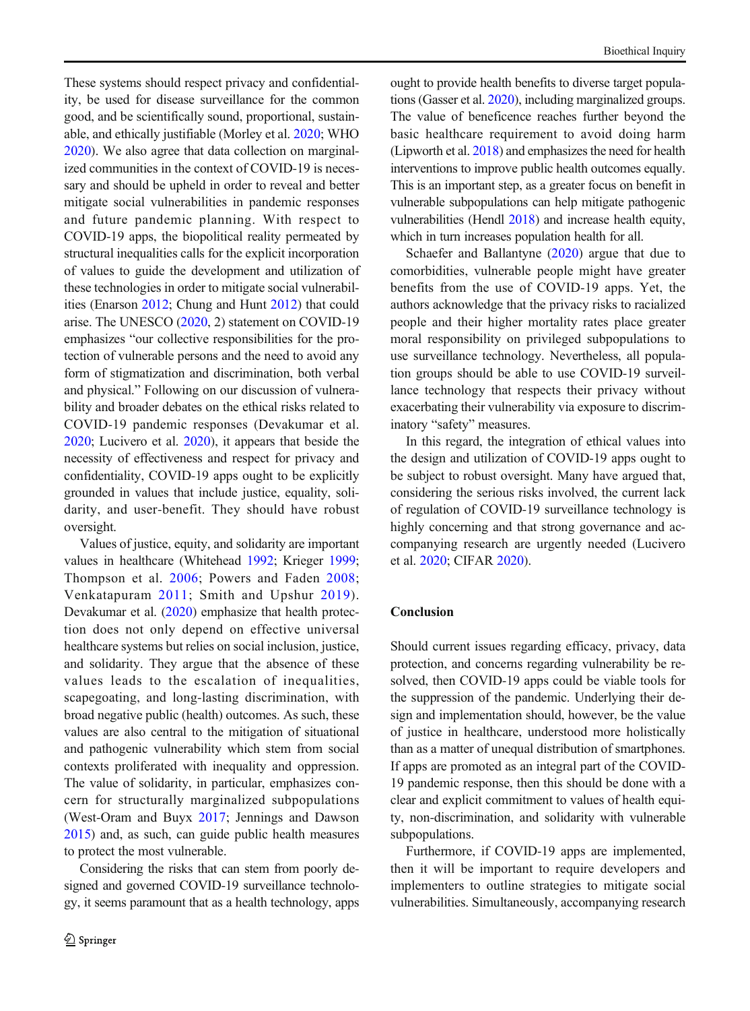These systems should respect privacy and confidentiality, be used for disease surveillance for the common good, and be scientifically sound, proportional, sustainable, and ethically justifiable (Morley et al. [2020;](#page-5-0) WHO [2020](#page-5-0)). We also agree that data collection on marginalized communities in the context of COVID-19 is necessary and should be upheld in order to reveal and better mitigate social vulnerabilities in pandemic responses and future pandemic planning. With respect to COVID-19 apps, the biopolitical reality permeated by structural inequalities calls for the explicit incorporation of values to guide the development and utilization of these technologies in order to mitigate social vulnerabilities (Enarson [2012](#page-4-0); Chung and Hunt [2012](#page-4-0)) that could arise. The UNESCO ([2020](#page-5-0), 2) statement on COVID-19 emphasizes "our collective responsibilities for the protection of vulnerable persons and the need to avoid any form of stigmatization and discrimination, both verbal and physical." Following on our discussion of vulnerability and broader debates on the ethical risks related to COVID-19 pandemic responses (Devakumar et al. [2020](#page-4-0); Lucivero et al. [2020\)](#page-5-0), it appears that beside the necessity of effectiveness and respect for privacy and confidentiality, COVID-19 apps ought to be explicitly grounded in values that include justice, equality, solidarity, and user-benefit. They should have robust oversight.

Values of justice, equity, and solidarity are important values in healthcare (Whitehead [1992;](#page-5-0) Krieger [1999](#page-5-0); Thompson et al. [2006;](#page-5-0) Powers and Faden [2008](#page-5-0); Venkatapuram [2011;](#page-5-0) Smith and Upshur [2019\)](#page-5-0). Devakumar et al. ([2020](#page-4-0)) emphasize that health protection does not only depend on effective universal healthcare systems but relies on social inclusion, justice, and solidarity. They argue that the absence of these values leads to the escalation of inequalities, scapegoating, and long-lasting discrimination, with broad negative public (health) outcomes. As such, these values are also central to the mitigation of situational and pathogenic vulnerability which stem from social contexts proliferated with inequality and oppression. The value of solidarity, in particular, emphasizes concern for structurally marginalized subpopulations (West-Oram and Buyx [2017;](#page-5-0) Jennings and Dawson [2015](#page-5-0)) and, as such, can guide public health measures to protect the most vulnerable.

Considering the risks that can stem from poorly designed and governed COVID-19 surveillance technology, it seems paramount that as a health technology, apps ought to provide health benefits to diverse target populations (Gasser et al. [2020](#page-4-0)), including marginalized groups. The value of beneficence reaches further beyond the basic healthcare requirement to avoid doing harm (Lipworth et al. [2018](#page-5-0)) and emphasizes the need for health interventions to improve public health outcomes equally. This is an important step, as a greater focus on benefit in vulnerable subpopulations can help mitigate pathogenic vulnerabilities (Hendl [2018\)](#page-5-0) and increase health equity, which in turn increases population health for all.

Schaefer and Ballantyne ([2020](#page-5-0)) argue that due to comorbidities, vulnerable people might have greater benefits from the use of COVID-19 apps. Yet, the authors acknowledge that the privacy risks to racialized people and their higher mortality rates place greater moral responsibility on privileged subpopulations to use surveillance technology. Nevertheless, all population groups should be able to use COVID-19 surveillance technology that respects their privacy without exacerbating their vulnerability via exposure to discriminatory "safety" measures.

In this regard, the integration of ethical values into the design and utilization of COVID-19 apps ought to be subject to robust oversight. Many have argued that, considering the serious risks involved, the current lack of regulation of COVID-19 surveillance technology is highly concerning and that strong governance and accompanying research are urgently needed (Lucivero et al. [2020;](#page-5-0) CIFAR [2020](#page-4-0)).

## Conclusion

Should current issues regarding efficacy, privacy, data protection, and concerns regarding vulnerability be resolved, then COVID-19 apps could be viable tools for the suppression of the pandemic. Underlying their design and implementation should, however, be the value of justice in healthcare, understood more holistically than as a matter of unequal distribution of smartphones. If apps are promoted as an integral part of the COVID-19 pandemic response, then this should be done with a clear and explicit commitment to values of health equity, non-discrimination, and solidarity with vulnerable subpopulations.

Furthermore, if COVID-19 apps are implemented, then it will be important to require developers and implementers to outline strategies to mitigate social vulnerabilities. Simultaneously, accompanying research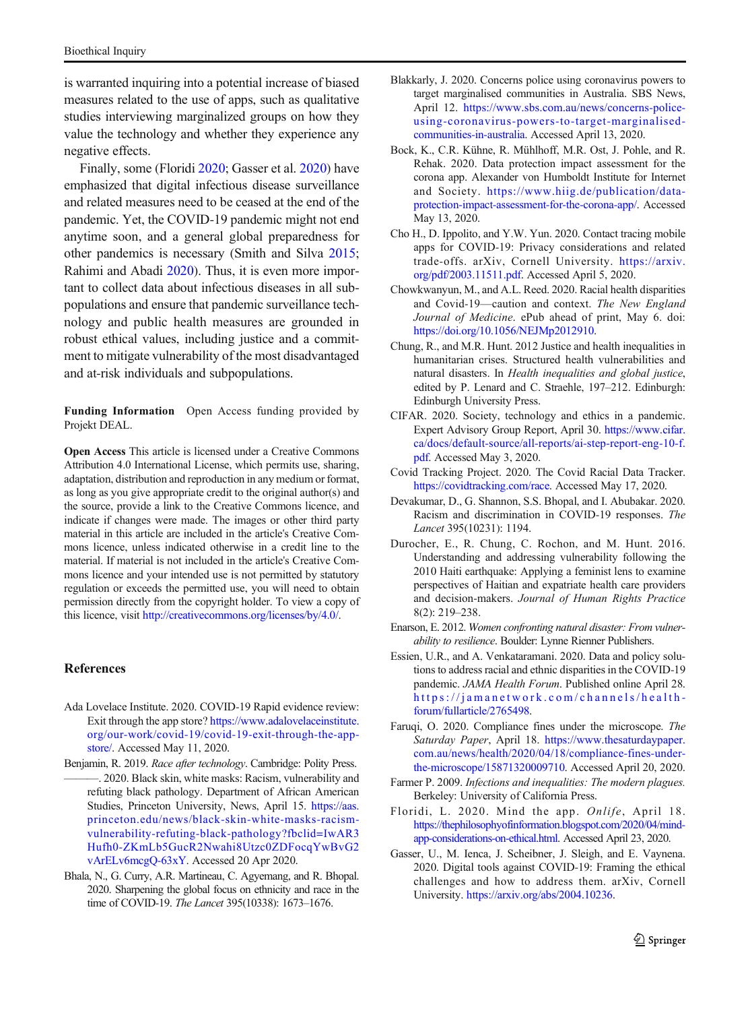<span id="page-4-0"></span>is warranted inquiring into a potential increase of biased measures related to the use of apps, such as qualitative studies interviewing marginalized groups on how they value the technology and whether they experience any negative effects.

Finally, some (Floridi 2020; Gasser et al. 2020) have emphasized that digital infectious disease surveillance and related measures need to be ceased at the end of the pandemic. Yet, the COVID-19 pandemic might not end anytime soon, and a general global preparedness for other pandemics is necessary (Smith and Silva [2015](#page-5-0); Rahimi and Abadi [2020](#page-5-0)). Thus, it is even more important to collect data about infectious diseases in all subpopulations and ensure that pandemic surveillance technology and public health measures are grounded in robust ethical values, including justice and a commitment to mitigate vulnerability of the most disadvantaged and at-risk individuals and subpopulations.

Funding Information Open Access funding provided by Projekt DEAL.

Open Access This article is licensed under a Creative Commons Attribution 4.0 International License, which permits use, sharing, adaptation, distribution and reproduction in any medium or format, as long as you give appropriate credit to the original author(s) and the source, provide a link to the Creative Commons licence, and indicate if changes were made. The images or other third party material in this article are included in the article's Creative Commons licence, unless indicated otherwise in a credit line to the material. If material is not included in the article's Creative Commons licence and your intended use is not permitted by statutory regulation or exceeds the permitted use, you will need to obtain permission directly from the copyright holder. To view a copy of this licence, visit [http://creativecommons.org/licenses/by/4.0/.](https://doi.org/)

### References

- Ada Lovelace Institute. 2020. COVID-19 Rapid evidence review: Exit through the app store? [https://www.adalovelaceinstitute.](https://www.adalovelaceinstitute.org/our-work/covid-19/covid-19-exit-through-the-app-store/) [org/our-work/covid-19/covid-19-exit-through-the-app](https://www.adalovelaceinstitute.org/our-work/covid-19/covid-19-exit-through-the-app-store/)[store/.](https://www.adalovelaceinstitute.org/our-work/covid-19/covid-19-exit-through-the-app-store/) Accessed May 11, 2020.
- Benjamin, R. 2019. Race after technology. Cambridge: Polity Press. -. 2020. Black skin, white masks: Racism, vulnerability and refuting black pathology. Department of African American Studies, Princeton University, News, April 15. [https://aas.](https://aas.princeton.edu/news/black-skin-white-masks-racism-vulnerability-refuting-black-pathology?fbclid=IwAR3Hufh0-ZKmLb5GucR2Nwahi8Utzc0ZDFocqYwBvG2vArELv6mcgQ-63xY) [princeton.edu/news/black-skin-white-masks-racism](https://aas.princeton.edu/news/black-skin-white-masks-racism-vulnerability-refuting-black-pathology?fbclid=IwAR3Hufh0-ZKmLb5GucR2Nwahi8Utzc0ZDFocqYwBvG2vArELv6mcgQ-63xY)[vulnerability-refuting-black-pathology?fbclid=IwAR3](https://aas.princeton.edu/news/black-skin-white-masks-racism-vulnerability-refuting-black-pathology?fbclid=IwAR3Hufh0-ZKmLb5GucR2Nwahi8Utzc0ZDFocqYwBvG2vArELv6mcgQ-63xY) [Hufh0-ZKmLb5GucR2Nwahi8Utzc0ZDFocqYwBvG2](https://aas.princeton.edu/news/black-skin-white-masks-racism-vulnerability-refuting-black-pathology?fbclid=IwAR3Hufh0-ZKmLb5GucR2Nwahi8Utzc0ZDFocqYwBvG2vArELv6mcgQ-63xY) [vArELv6mcgQ-63xY.](https://aas.princeton.edu/news/black-skin-white-masks-racism-vulnerability-refuting-black-pathology?fbclid=IwAR3Hufh0-ZKmLb5GucR2Nwahi8Utzc0ZDFocqYwBvG2vArELv6mcgQ-63xY) Accessed 20 Apr 2020.
- Bhala, N., G. Curry, A.R. Martineau, C. Agyemang, and R. Bhopal. 2020. Sharpening the global focus on ethnicity and race in the time of COVID-19. The Lancet 395(10338): 1673–1676.
- Blakkarly, J. 2020. Concerns police using coronavirus powers to target marginalised communities in Australia. SBS News, April 12. [https://www.sbs.com.au/news/concerns-police](https://www.sbs.com.au/news/concerns-police-using-coronavirus-powers-to-target-marginalised-communities-in-australia)[using-coronavirus-powers-to-target-marginalised](https://www.sbs.com.au/news/concerns-police-using-coronavirus-powers-to-target-marginalised-communities-in-australia)[communities-in-australia.](https://www.sbs.com.au/news/concerns-police-using-coronavirus-powers-to-target-marginalised-communities-in-australia) Accessed April 13, 2020.
- Bock, K., C.R. Kühne, R. Mühlhoff, M.R. Ost, J. Pohle, and R. Rehak. 2020. Data protection impact assessment for the corona app. Alexander von Humboldt Institute for Internet and Society. [https://www.hiig.de/publication/data](https://www.hiig.de/publication/data-protection-impact-assessment-for-the-corona-app/)[protection-impact-assessment-for-the-corona-app/.](https://www.hiig.de/publication/data-protection-impact-assessment-for-the-corona-app/) Accessed May 13, 2020.
- Cho H., D. Ippolito, and Y.W. Yun. 2020. Contact tracing mobile apps for COVID-19: Privacy considerations and related trade-offs. arXiv, Cornell University. [https://arxiv.](https://arxiv.org/pdf/2003.11511.pdf) [org/pdf/2003.11511.pdf](https://arxiv.org/pdf/2003.11511.pdf). Accessed April 5, 2020.
- Chowkwanyun, M., and A.L. Reed. 2020. Racial health disparities and Covid-19—caution and context. The New England Journal of Medicine. ePub ahead of print, May 6. doi: <https://doi.org/10.1056/NEJMp2012910>.
- Chung, R., and M.R. Hunt. 2012 Justice and health inequalities in humanitarian crises. Structured health vulnerabilities and natural disasters. In Health inequalities and global justice, edited by P. Lenard and C. Straehle, 197–212. Edinburgh: Edinburgh University Press.
- CIFAR. 2020. Society, technology and ethics in a pandemic. Expert Advisory Group Report, April 30. [https://www.cifar.](https://www.cifar.ca/docs/default-source/all-reports/ai-step-report-eng-10-f.pdf) [ca/docs/default-source/all-reports/ai-step-report-eng-10-f.](https://www.cifar.ca/docs/default-source/all-reports/ai-step-report-eng-10-f.pdf) [pdf.](https://www.cifar.ca/docs/default-source/all-reports/ai-step-report-eng-10-f.pdf) Accessed May 3, 2020.
- Covid Tracking Project. 2020. The Covid Racial Data Tracker. [https://covidtracking.com/race.](https://covidtracking.com/race) Accessed May 17, 2020.
- Devakumar, D., G. Shannon, S.S. Bhopal, and I. Abubakar. 2020. Racism and discrimination in COVID-19 responses. The Lancet 395(10231): 1194.
- Durocher, E., R. Chung, C. Rochon, and M. Hunt. 2016. Understanding and addressing vulnerability following the 2010 Haiti earthquake: Applying a feminist lens to examine perspectives of Haitian and expatriate health care providers and decision-makers. Journal of Human Rights Practice 8(2): 219–238.
- Enarson, E. 2012. Women confronting natural disaster: From vulnerability to resilience. Boulder: Lynne Rienner Publishers.
- Essien, U.R., and A. Venkataramani. 2020. Data and policy solutions to address racial and ethnic disparities in the COVID-19 pandemic. JAMA Health Forum. Published online April 28. https://jamanetwork. [com/channels/health](https://jamanetwork.com/channels/health-forum/fullarticle/2765498)[forum/fullarticle/2765498](https://jamanetwork.com/channels/health-forum/fullarticle/2765498).
- Faruqi, O. 2020. Compliance fines under the microscope. The Saturday Paper, April 18. [https://www.thesaturdaypaper.](https://www.thesaturdaypaper.com.au/news/health/2020/04/18/compliance-fines-under-the-microscope/15871320009710) [com.au/news/health/2020/04/18/compliance-fines-under](https://www.thesaturdaypaper.com.au/news/health/2020/04/18/compliance-fines-under-the-microscope/15871320009710)[the-microscope/15871320009710](https://www.thesaturdaypaper.com.au/news/health/2020/04/18/compliance-fines-under-the-microscope/15871320009710). Accessed April 20, 2020.
- Farmer P. 2009. Infections and inequalities: The modern plagues. Berkeley: University of California Press.
- Floridi, L. 2020. Mind the app. Onlife, April 18. [https://thephilosophyofinformation.blogspot.com/2020/04/mind](https://thephilosophyofinformation.blogspot.com/2020/04/mind-app-considerations-on-ethical.html)[app-considerations-on-ethical.html.](https://thephilosophyofinformation.blogspot.com/2020/04/mind-app-considerations-on-ethical.html) Accessed April 23, 2020.
- Gasser, U., M. Ienca, J. Scheibner, J. Sleigh, and E. Vaynena. 2020. Digital tools against COVID-19: Framing the ethical challenges and how to address them. arXiv, Cornell University. <https://arxiv.org/abs/2004.10236>.